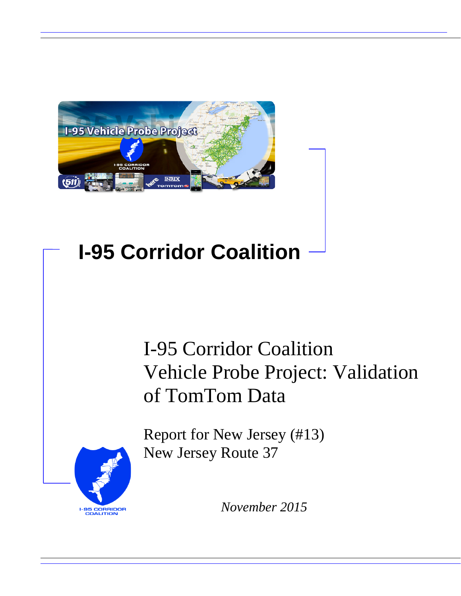

# **I-95 Corridor Coalition**

# I-95 Corridor Coalition Vehicle Probe Project: Validation of TomTom Data

**I-95 CORRIDOR**<br>COALITION

Report for New Jersey (#13) New Jersey Route 37

*November 2015*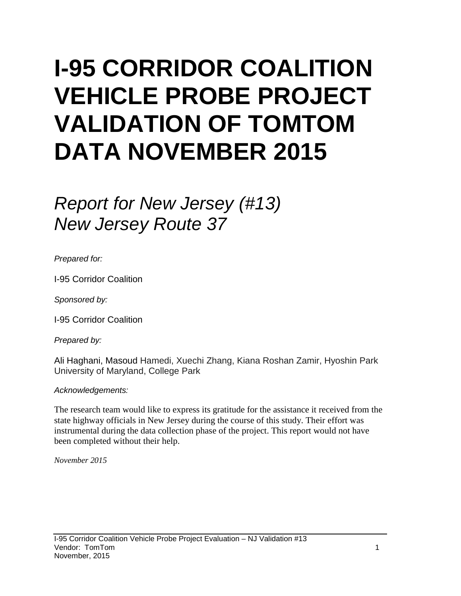# **I-95 CORRIDOR COALITION VEHICLE PROBE PROJECT VALIDATION OF TOMTOM DATA NOVEMBER 2015**

# *Report for New Jersey (#13) New Jersey Route 37*

*Prepared for:*

I-95 Corridor Coalition

*Sponsored by:*

I-95 Corridor Coalition

*Prepared by:*

Ali Haghani, Masoud Hamedi, Xuechi Zhang, Kiana Roshan Zamir, Hyoshin Park University of Maryland, College Park

#### *Acknowledgements:*

The research team would like to express its gratitude for the assistance it received from the state highway officials in New Jersey during the course of this study. Their effort was instrumental during the data collection phase of the project. This report would not have been completed without their help.

*November 2015*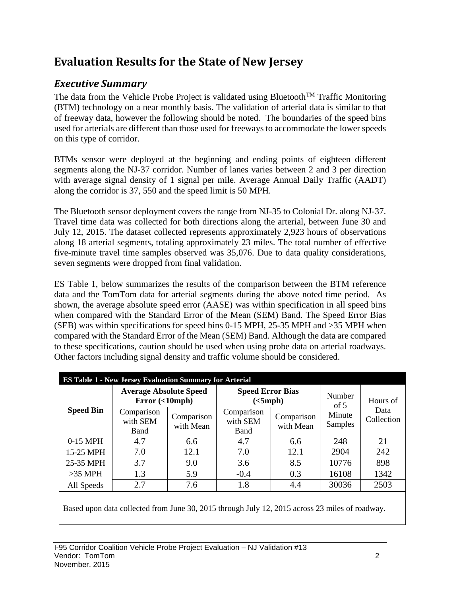## **Evaluation Results for the State of New Jersey**

## *Executive Summary*

The data from the Vehicle Probe Project is validated using Bluetooth<sup>TM</sup> Traffic Monitoring (BTM) technology on a near monthly basis. The validation of arterial data is similar to that of freeway data, however the following should be noted. The boundaries of the speed bins used for arterials are different than those used for freeways to accommodate the lower speeds on this type of corridor.

BTMs sensor were deployed at the beginning and ending points of eighteen different segments along the NJ-37 corridor. Number of lanes varies between 2 and 3 per direction with average signal density of 1 signal per mile. Average Annual Daily Traffic (AADT) along the corridor is 37, 550 and the speed limit is 50 MPH.

The Bluetooth sensor deployment covers the range from NJ-35 to Colonial Dr. along NJ-37. Travel time data was collected for both directions along the arterial, between June 30 and July 12, 2015. The dataset collected represents approximately 2,923 hours of observations along 18 arterial segments, totaling approximately 23 miles. The total number of effective five-minute travel time samples observed was 35,076. Due to data quality considerations, seven segments were dropped from final validation.

ES Table 1, below summarizes the results of the comparison between the BTM reference data and the TomTom data for arterial segments during the above noted time period. As shown, the average absolute speed error (AASE) was within specification in all speed bins when compared with the Standard Error of the Mean (SEM) Band. The Speed Error Bias (SEB) was within specifications for speed bins 0-15 MPH, 25-35 MPH and >35 MPH when compared with the Standard Error of the Mean (SEM) Band. Although the data are compared to these specifications, caution should be used when using probe data on arterial roadways. Other factors including signal density and traffic volume should be considered.

| <b>ES Table 1 - New Jersey Evaluation Summary for Arterial</b> |                                                |                         |                                                                                                                                                                       |            |        |          |  |  |  |
|----------------------------------------------------------------|------------------------------------------------|-------------------------|-----------------------------------------------------------------------------------------------------------------------------------------------------------------------|------------|--------|----------|--|--|--|
|                                                                | <b>Average Absolute Speed</b><br>Error(<10mph) |                         | <b>Speed Error Bias</b>                                                                                                                                               |            | Number | Hours of |  |  |  |
| <b>Speed Bin</b>                                               | Comparison<br>with SEM<br>Band                 | Comparison<br>with Mean | (<5 mph)<br>of $5$<br>Data<br>Comparison<br>Minute<br>Comparison<br>with SEM<br>Samples<br>with Mean<br>Band<br>4.7<br>21<br>248<br>6.6<br>2904<br>242<br>12.1<br>7.0 | Collection |        |          |  |  |  |
| 0-15 MPH                                                       | 4.7                                            | 6.6                     |                                                                                                                                                                       |            |        |          |  |  |  |
| 15-25 MPH                                                      | 7.0                                            | 12.1                    |                                                                                                                                                                       |            |        |          |  |  |  |
| 25-35 MPH                                                      | 3.7                                            | 9.0                     | 3.6                                                                                                                                                                   | 8.5        | 10776  | 898      |  |  |  |
| $>35$ MPH                                                      | 1.3                                            | 5.9                     | $-0.4$                                                                                                                                                                | 0.3        | 16108  | 1342     |  |  |  |
| All Speeds                                                     | 2.7                                            | 7.6                     | 1.8                                                                                                                                                                   | 4.4        | 30036  | 2503     |  |  |  |

Based upon data collected from June 30, 2015 through July 12, 2015 across 23 miles of roadway.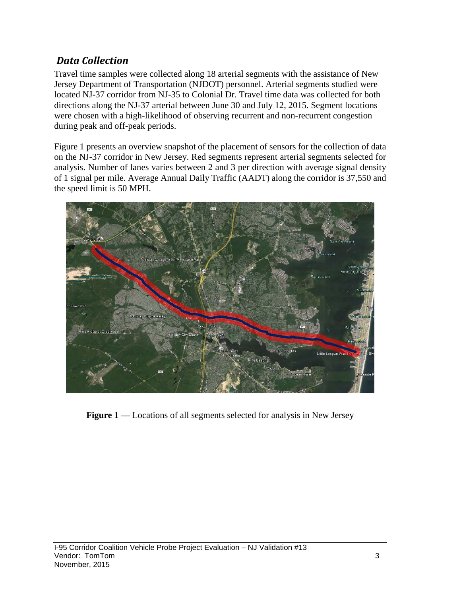### *Data Collection*

Travel time samples were collected along 18 arterial segments with the assistance of New Jersey Department of Transportation (NJDOT) personnel. Arterial segments studied were located NJ-37 corridor from NJ-35 to Colonial Dr. Travel time data was collected for both directions along the NJ-37 arterial between June 30 and July 12, 2015. Segment locations were chosen with a high-likelihood of observing recurrent and non-recurrent congestion during peak and off-peak periods.

Figure 1 presents an overview snapshot of the placement of sensors for the collection of data on the NJ-37 corridor in New Jersey. Red segments represent arterial segments selected for analysis. Number of lanes varies between 2 and 3 per direction with average signal density of 1 signal per mile. Average Annual Daily Traffic (AADT) along the corridor is 37,550 and the speed limit is 50 MPH.



**Figure 1** — Locations of all segments selected for analysis in New Jersey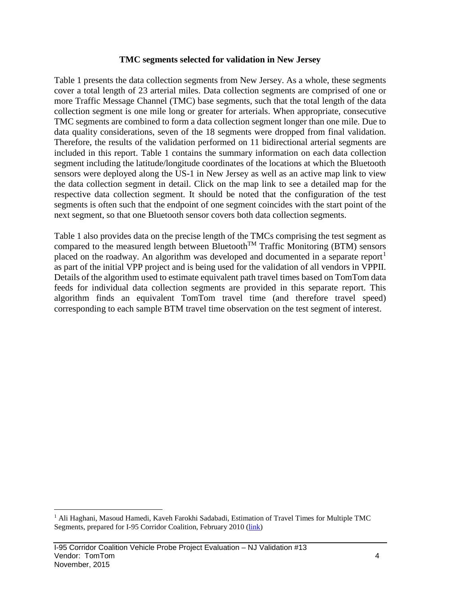#### **TMC segments selected for validation in New Jersey**

Table 1 presents the data collection segments from New Jersey. As a whole, these segments cover a total length of 23 arterial miles. Data collection segments are comprised of one or more Traffic Message Channel (TMC) base segments, such that the total length of the data collection segment is one mile long or greater for arterials. When appropriate, consecutive TMC segments are combined to form a data collection segment longer than one mile. Due to data quality considerations, seven of the 18 segments were dropped from final validation. Therefore, the results of the validation performed on 11 bidirectional arterial segments are included in this report. Table 1 contains the summary information on each data collection segment including the latitude/longitude coordinates of the locations at which the Bluetooth sensors were deployed along the US-1 in New Jersey as well as an active map link to view the data collection segment in detail. Click on the map link to see a detailed map for the respective data collection segment. It should be noted that the configuration of the test segments is often such that the endpoint of one segment coincides with the start point of the next segment, so that one Bluetooth sensor covers both data collection segments.

Table 1 also provides data on the precise length of the TMCs comprising the test segment as compared to the measured length between Bluetooth<sup>TM</sup> Traffic Monitoring (BTM) sensors placed on the roadway. An algorithm was developed and documented in a separate report<sup>[1](#page-4-0)</sup> as part of the initial VPP project and is being used for the validation of all vendors in VPPII. Details of the algorithm used to estimate equivalent path travel times based on TomTom data feeds for individual data collection segments are provided in this separate report. This algorithm finds an equivalent TomTom travel time (and therefore travel speed) corresponding to each sample BTM travel time observation on the test segment of interest.

<span id="page-4-0"></span><sup>&</sup>lt;sup>1</sup> Ali Haghani, Masoud Hamedi, Kaveh Farokhi Sadabadi, Estimation of Travel Times for Multiple TMC Segments, prepared for I-95 Corridor Coalition, February 2010 [\(link\)](http://www.i95coalition.org/wp-content/uploads/2015/02/I-95-CC-Estimation-of-Travel-Times-for-Multiple-TMC-Segments-FINAL2.pdf)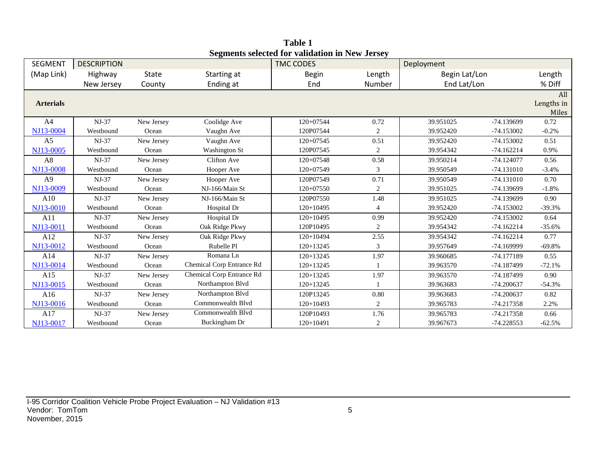| <b>SEGMENT</b>   | <b>DESCRIPTION</b> |              |                           | beginems selected for vanuation in frew acroey<br><b>TMC CODES</b> |            | Deployment    |              |            |
|------------------|--------------------|--------------|---------------------------|--------------------------------------------------------------------|------------|---------------|--------------|------------|
| (Map Link)       | Highway            | <b>State</b> | Starting at               | <b>Begin</b>                                                       | Length     | Begin Lat/Lon |              | Length     |
|                  | New Jersey         | County       | Ending at                 | End                                                                | Number     | End Lat/Lon   |              | % Diff     |
|                  |                    |              |                           |                                                                    |            |               |              | All        |
| <b>Arterials</b> |                    |              |                           |                                                                    |            |               |              | Lengths in |
|                  |                    |              |                           |                                                                    |            |               |              | Miles      |
| A <sup>4</sup>   | NJ-37              | New Jersey   | Coolidge Ave              | 120+07544                                                          | 0.72       | 39.951025     | -74.139699   | 0.72       |
| NJ13-0004        | Westbound          | Ocean        | Vaughn Ave                | 120P07544                                                          | $\sqrt{2}$ | 39.952420     | $-74.153002$ | $-0.2%$    |
| A <sub>5</sub>   | $NJ-37$            | New Jersey   | Vaughn Ave                | $120+07545$                                                        | 0.51       | 39.952420     | $-74.153002$ | 0.51       |
| NJ13-0005        | Westbound          | Ocean        | <b>Washington St</b>      | 120P07545                                                          | 2          | 39.954342     | $-74.162214$ | 0.9%       |
| A8               | NJ-37              | New Jersey   | <b>Clifton Ave</b>        | $120+07548$                                                        | 0.58       | 39.950214     | $-74.124077$ | 0.56       |
| NJ13-0008        | Westbound          | Ocean        | Hooper Ave                | 120+07549                                                          | 3          | 39.950549     | $-74.131010$ | $-3.4%$    |
| A <sub>9</sub>   | NJ-37              | New Jersey   | Hooper Ave                | 120P07549                                                          | 0.71       | 39.950549     | $-74.131010$ | 0.70       |
| NJ13-0009        | Westbound          | Ocean        | NJ-166/Main St            | 120+07550                                                          | 2          | 39.951025     | -74.139699   | $-1.8%$    |
| A10              | $NJ-37$            | New Jersey   | NJ-166/Main St            | 120P07550                                                          | 1.48       | 39.951025     | -74.139699   | 0.90       |
| NJ13-0010        | Westbound          | Ocean        | Hospital Dr               | $120+10495$                                                        | 4          | 39.952420     | $-74.153002$ | $-39.3%$   |
| A11              | $NJ-37$            | New Jersey   | Hospital Dr               | $120+10495$                                                        | 0.99       | 39.952420     | $-74.153002$ | 0.64       |
| NJ13-0011        | Westbound          | Ocean        | Oak Ridge Pkwy            | 120P10495                                                          | 2          | 39.954342     | $-74.162214$ | $-35.6%$   |
| A12              | $NJ-37$            | New Jersey   | Oak Ridge Pkwy            | $120+10494$                                                        | 2.55       | 39.954342     | $-74.162214$ | 0.77       |
| NJ13-0012        | Westbound          | Ocean        | Rubelle Pl                | $120+13245$                                                        | 3          | 39.957649     | -74.169999   | $-69.8%$   |
| A14              | $NJ-37$            | New Jersey   | Romana Ln                 | $120+13245$                                                        | 1.97       | 39.960685     | $-74.177189$ | 0.55       |
| NJ13-0014        | Westbound          | Ocean        | Chemical Corp Entrance Rd | $120+13245$                                                        |            | 39.963570     | -74.187499   | $-72.1%$   |
| A15              | $NJ-37$            | New Jersey   | Chemical Corp Entrance Rd | $120+13245$                                                        | 1.97       | 39.963570     | $-74.187499$ | 0.90       |
| NJ13-0015        | Westbound          | Ocean        | Northampton Blvd          | 120+13245                                                          |            | 39.963683     | $-74.200637$ | $-54.3%$   |
| A16              | $NJ-37$            | New Jersey   | Northampton Blvd          | 120P13245                                                          | $0.80\,$   | 39.963683     | $-74.200637$ | 0.82       |
| NJ13-0016        | Westbound          | Ocean        | Commonwealth Blvd         | $120+10493$                                                        | 2          | 39.965783     | $-74.217358$ | 2.2%       |
| A17              | $NJ-37$            | New Jersey   | Commonwealth Blvd         | 120P10493                                                          | 1.76       | 39.965783     | $-74.217358$ | 0.66       |
| NJ13-0017        | Westbound          | Ocean        | Buckingham Dr             | $120+10491$                                                        | 2          | 39.967673     | -74.228553   | $-62.5%$   |

**Table 1 Segments selected for validation in New Jersey**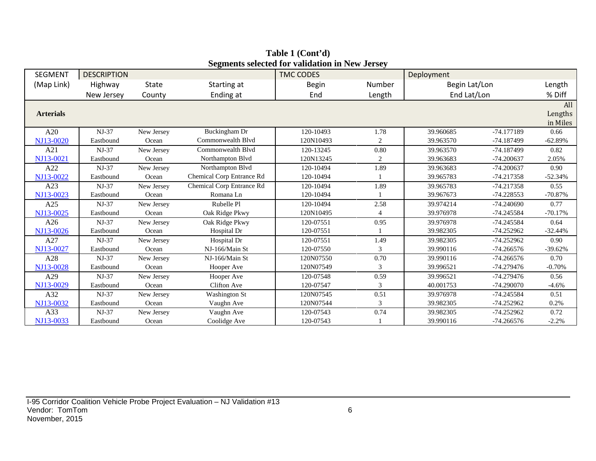| <b>SEGMENT</b>   | <b>DESCRIPTION</b> |            |                           | $\alpha$ , and $\alpha$ and $\alpha$ and $\alpha$ and $\alpha$ and $\alpha$ and $\alpha$<br><b>TMC CODES</b> |                | Deployment    |              |           |
|------------------|--------------------|------------|---------------------------|--------------------------------------------------------------------------------------------------------------|----------------|---------------|--------------|-----------|
| (Map Link)       | Highway            | State      | Starting at               | <b>Begin</b>                                                                                                 | Number         | Begin Lat/Lon |              | Length    |
|                  | New Jersey         | County     | Ending at                 | End                                                                                                          | Length         | End Lat/Lon   |              | % Diff    |
|                  |                    |            |                           |                                                                                                              |                |               |              | All       |
| <b>Arterials</b> |                    |            |                           |                                                                                                              |                |               |              | Lengths   |
|                  |                    |            |                           |                                                                                                              |                |               |              | in Miles  |
| A20              | $NJ-37$            | New Jersey | Buckingham Dr             | 120-10493                                                                                                    | 1.78           | 39.960685     | -74.177189   | 0.66      |
| NJ13-0020        | Eastbound          | Ocean      | Commonwealth Blvd         | 120N10493                                                                                                    | 2              | 39.963570     | -74.187499   | $-62.89%$ |
| A21              | $NJ-37$            | New Jersey | Commonwealth Blyd         | 120-13245                                                                                                    | 0.80           | 39.963570     | -74.187499   | 0.82      |
| NJ13-0021        | Eastbound          | Ocean      | Northampton Blvd          | 120N13245                                                                                                    | $\overline{c}$ | 39.963683     | $-74.200637$ | 2.05%     |
| A22              | $NJ-37$            | New Jersey | Northampton Blvd          | 120-10494                                                                                                    | 1.89           | 39.963683     | $-74.200637$ | 0.90      |
| NJ13-0022        | Eastbound          | Ocean      | Chemical Corp Entrance Rd | 120-10494                                                                                                    |                | 39.965783     | $-74.217358$ | $-52.34%$ |
| A23              | $NJ-37$            | New Jersey | Chemical Corp Entrance Rd | 120-10494                                                                                                    | 1.89           | 39.965783     | $-74.217358$ | 0.55      |
| NJ13-0023        | Eastbound          | Ocean      | Romana Ln                 | 120-10494                                                                                                    |                | 39.967673     | -74.228553   | $-70.87%$ |
| A25              | $NJ-37$            | New Jersey | Rubelle Pl                | 120-10494                                                                                                    | 2.58           | 39.974214     | $-74.240690$ | 0.77      |
| NJ13-0025        | Eastbound          | Ocean      | Oak Ridge Pkwy            | 120N10495                                                                                                    | 4              | 39.976978     | -74.245584   | $-70.17%$ |
| A26              | $NJ-37$            | New Jersey | Oak Ridge Pkwy            | 120-07551                                                                                                    | 0.95           | 39.976978     | -74.245584   | 0.64      |
| NJ13-0026        | Eastbound          | Ocean      | Hospital Dr               | 120-07551                                                                                                    |                | 39.982305     | $-74.252962$ | $-32.44%$ |
| A27              | $NJ-37$            | New Jersey | Hospital Dr               | 120-07551                                                                                                    | 1.49           | 39.982305     | $-74.252962$ | 0.90      |
| NJ13-0027        | Eastbound          | Ocean      | NJ-166/Main St            | 120-07550                                                                                                    | 3              | 39.990116     | $-74.266576$ | $-39.62%$ |
| A28              | $NJ-37$            | New Jersey | NJ-166/Main St            | 120N07550                                                                                                    | 0.70           | 39.990116     | $-74.266576$ | 0.70      |
| NJ13-0028        | Eastbound          | Ocean      | Hooper Ave                | 120N07549                                                                                                    | 3              | 39.996521     | $-74.279476$ | $-0.70%$  |
| A29              | $NJ-37$            | New Jersey | Hooper Ave                | 120-07548                                                                                                    | 0.59           | 39.996521     | $-74.279476$ | 0.56      |
| NJ13-0029        | Eastbound          | Ocean      | Clifton Ave               | 120-07547                                                                                                    | 3              | 40.001753     | $-74.290070$ | $-4.6%$   |
| A32              | $NJ-37$            | New Jersey | <b>Washington St</b>      | 120N07545                                                                                                    | 0.51           | 39.976978     | -74.245584   | 0.51      |
| NJ13-0032        | Eastbound          | Ocean      | Vaughn Ave                | 120N07544                                                                                                    | 3              | 39.982305     | $-74.252962$ | 0.2%      |
| A33              | $NJ-37$            | New Jersey | Vaughn Ave                | 120-07543                                                                                                    | 0.74           | 39.982305     | -74.252962   | 0.72      |
| NJ13-0033        | Eastbound          | Ocean      | Coolidge Ave              | 120-07543                                                                                                    |                | 39.990116     | $-74.266576$ | $-2.2%$   |

**Table 1 (Cont'd) Segments selected for validation in New Jersey**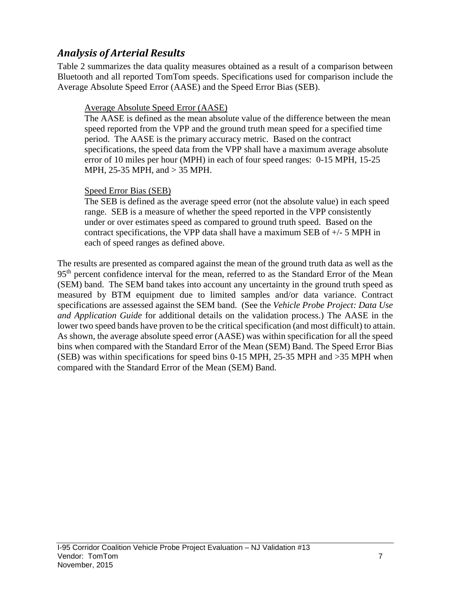### *Analysis of Arterial Results*

Table 2 summarizes the data quality measures obtained as a result of a comparison between Bluetooth and all reported TomTom speeds. Specifications used for comparison include the Average Absolute Speed Error (AASE) and the Speed Error Bias (SEB).

#### Average Absolute Speed Error (AASE)

The AASE is defined as the mean absolute value of the difference between the mean speed reported from the VPP and the ground truth mean speed for a specified time period. The AASE is the primary accuracy metric. Based on the contract specifications, the speed data from the VPP shall have a maximum average absolute error of 10 miles per hour (MPH) in each of four speed ranges: 0-15 MPH, 15-25 MPH, 25-35 MPH, and > 35 MPH.

#### Speed Error Bias (SEB)

The SEB is defined as the average speed error (not the absolute value) in each speed range. SEB is a measure of whether the speed reported in the VPP consistently under or over estimates speed as compared to ground truth speed. Based on the contract specifications, the VPP data shall have a maximum SEB of +/- 5 MPH in each of speed ranges as defined above.

The results are presented as compared against the mean of the ground truth data as well as the 95<sup>th</sup> percent confidence interval for the mean, referred to as the Standard Error of the Mean (SEM) band. The SEM band takes into account any uncertainty in the ground truth speed as measured by BTM equipment due to limited samples and/or data variance. Contract specifications are assessed against the SEM band. (See the *Vehicle Probe Project: Data Use and Application Guide* for additional details on the validation process.) The AASE in the lower two speed bands have proven to be the critical specification (and most difficult) to attain. As shown, the average absolute speed error (AASE) was within specification for all the speed bins when compared with the Standard Error of the Mean (SEM) Band. The Speed Error Bias (SEB) was within specifications for speed bins 0-15 MPH, 25-35 MPH and >35 MPH when compared with the Standard Error of the Mean (SEM) Band.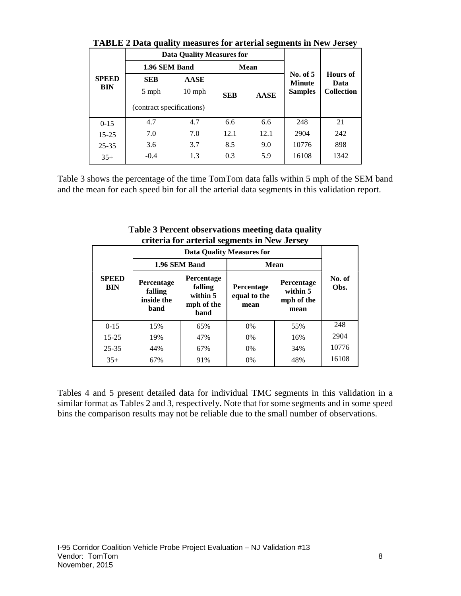|              | This is a pain quality incording for arresting segments in Fig. 6 crocy |          |            |                             |                         |                   |  |
|--------------|-------------------------------------------------------------------------|----------|------------|-----------------------------|-------------------------|-------------------|--|
|              | <b>Data Quality Measures for</b>                                        |          |            |                             |                         |                   |  |
|              | 1.96 SEM Band                                                           |          |            | <b>Mean</b>                 |                         |                   |  |
| <b>SPEED</b> | <b>SEB</b><br><b>AASE</b>                                               |          |            | No. of $5$<br><b>Minute</b> | <b>Hours</b> of<br>Data |                   |  |
| <b>BIN</b>   | 5 mph                                                                   | $10$ mph | <b>SEB</b> | <b>AASE</b>                 | <b>Samples</b>          | <b>Collection</b> |  |
|              | (contract specifications)                                               |          |            |                             |                         |                   |  |
| $0 - 15$     | 4.7                                                                     | 4.7      | 6.6        | 6.6                         | 248                     | 21                |  |
| $15 - 25$    | 7.0                                                                     | 7.0      | 12.1       | 12.1                        | 2904                    | 242               |  |
| $25 - 35$    | 3.6                                                                     | 3.7      | 8.5        | 9.0                         | 10776                   | 898               |  |
| $35+$        | $-0.4$                                                                  | 1.3      | 0.3        | 5.9                         | 16108                   | 1342              |  |

**TABLE 2 Data quality measures for arterial segments in New Jersey**

Table 3 shows the percentage of the time TomTom data falls within 5 mph of the SEM band and the mean for each speed bin for all the arterial data segments in this validation report.

|  |                            |                                             |                                                         | Criteria for arterial segments in frew Jersey |                                                     |                |
|--|----------------------------|---------------------------------------------|---------------------------------------------------------|-----------------------------------------------|-----------------------------------------------------|----------------|
|  |                            |                                             |                                                         |                                               |                                                     |                |
|  |                            | 1.96 SEM Band                               | <b>Mean</b>                                             |                                               |                                                     |                |
|  | <b>SPEED</b><br><b>BIN</b> | Percentage<br>falling<br>inside the<br>band | Percentage<br>falling<br>within 5<br>mph of the<br>band | Percentage<br>equal to the<br>mean            | <b>Percentage</b><br>within 5<br>mph of the<br>mean | No. of<br>Obs. |
|  | $0 - 15$                   | 15%                                         | 65%                                                     | $0\%$                                         | 55%                                                 | 248            |
|  | $15 - 25$                  | 19%                                         | 47%                                                     | 0%                                            | 16%                                                 | 2904           |
|  | $25 - 35$                  | 44%                                         | 67%                                                     | 0%                                            | 34%                                                 | 10776          |
|  | $35+$                      | 67%                                         | 91%                                                     | 0%                                            | 48%                                                 | 16108          |

**Table 3 Percent observations meeting data quality criteria for arterial segments in New Jersey**

Tables 4 and 5 present detailed data for individual TMC segments in this validation in a similar format as Tables 2 and 3, respectively. Note that for some segments and in some speed bins the comparison results may not be reliable due to the small number of observations.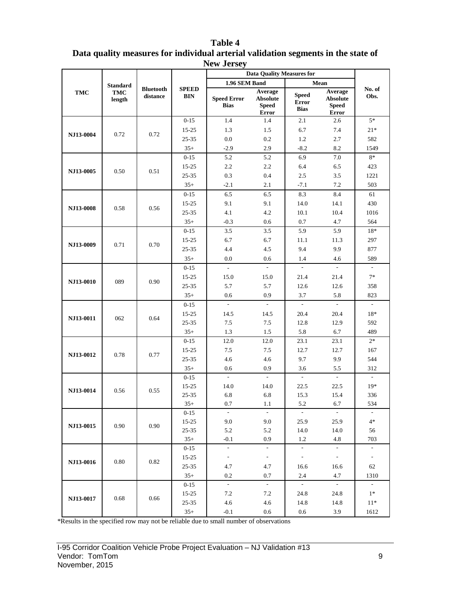|                  |                      |                              |                            | тем астэс)<br><b>Data Quality Measures for</b> |                                                     |                                             |                                                            |                          |  |
|------------------|----------------------|------------------------------|----------------------------|------------------------------------------------|-----------------------------------------------------|---------------------------------------------|------------------------------------------------------------|--------------------------|--|
|                  | <b>Standard</b>      |                              |                            | 1.96 SEM Band                                  |                                                     |                                             | Mean                                                       |                          |  |
| TMC              | <b>TMC</b><br>length | <b>Bluetooth</b><br>distance | <b>SPEED</b><br><b>BIN</b> | <b>Speed Error</b><br><b>Bias</b>              | Average<br><b>Absolute</b><br><b>Speed</b><br>Error | <b>Speed</b><br><b>Error</b><br><b>Bias</b> | Average<br><b>Absolute</b><br><b>Speed</b><br><b>Error</b> | No. of<br>Obs.           |  |
|                  |                      |                              | $0 - 15$                   | 1.4                                            | 1.4                                                 | 2.1                                         | 2.6                                                        | $5*$                     |  |
|                  | 0.72                 | 0.72                         | $15 - 25$                  | 1.3                                            | 1.5                                                 | 6.7                                         | 7.4                                                        | $21*$                    |  |
| NJ13-0004        |                      |                              | 25-35                      | 0.0                                            | 0.2                                                 | 1.2                                         | 2.7                                                        | 582                      |  |
|                  |                      |                              | $35+$                      | $-2.9$                                         | 2.9                                                 | $-8.2$                                      | 8.2                                                        | 1549                     |  |
|                  |                      |                              | $0 - 15$                   | 5.2                                            | 5.2                                                 | 6.9                                         | 7.0                                                        | $8*$                     |  |
| NJ13-0005        | 0.50                 | 0.51                         | 15-25                      | 2.2                                            | 2.2                                                 | 6.4                                         | 6.5                                                        | 423                      |  |
|                  |                      |                              | 25-35                      | 0.3                                            | 0.4                                                 | 2.5                                         | 3.5                                                        | 1221                     |  |
|                  |                      |                              | $35+$                      | $-2.1$                                         | 2.1                                                 | $-7.1$                                      | 7.2                                                        | 503                      |  |
|                  |                      |                              | $0 - 15$                   | 6.5                                            | 6.5                                                 | 8.3                                         | 8.4                                                        | 61                       |  |
| NJ13-0008        | 0.58                 | 0.56                         | $15 - 25$                  | 9.1                                            | 9.1                                                 | 14.0                                        | 14.1                                                       | 430                      |  |
|                  |                      |                              | $25 - 35$                  | 4.1                                            | 4.2                                                 | 10.1                                        | 10.4                                                       | 1016                     |  |
|                  |                      |                              | $35+$                      | $-0.3$                                         | 0.6                                                 | 0.7                                         | 4.7                                                        | 564                      |  |
|                  |                      |                              | $0 - 15$                   | 3.5                                            | 3.5                                                 | 5.9                                         | 5.9                                                        | $18*$                    |  |
| NJ13-0009        | 0.71                 | 0.70                         | $15 - 25$                  | 6.7                                            | 6.7                                                 | 11.1                                        | 11.3                                                       | 297                      |  |
|                  |                      |                              | 25-35                      | 4.4                                            | 4.5                                                 | 9.4                                         | 9.9                                                        | 877                      |  |
|                  |                      |                              | $35+$                      | 0.0                                            | 0.6                                                 | 1.4                                         | 4.6                                                        | 589                      |  |
|                  |                      |                              | $0 - 15$                   | $\overline{\phantom{a}}$                       | $\overline{\phantom{a}}$                            | $\mathcal{L}$                               | $\mathbf{r}$                                               | $\overline{\phantom{a}}$ |  |
|                  |                      |                              | $15 - 25$                  | 15.0                                           | 15.0                                                | 21.4                                        | 21.4                                                       | $7*$                     |  |
| NJ13-0010        | 089                  | 0.90                         | 25-35                      | 5.7                                            | 5.7                                                 | 12.6                                        | 12.6                                                       | 358                      |  |
|                  |                      |                              | $35+$                      | 0.6                                            | 0.9                                                 | 3.7                                         | 5.8                                                        | 823                      |  |
|                  |                      |                              | $0 - 15$                   |                                                |                                                     |                                             |                                                            |                          |  |
| NJ13-0011        | 062                  | 0.64                         | $15 - 25$                  | 14.5                                           | 14.5                                                | 20.4                                        | 20.4                                                       | 18*                      |  |
|                  |                      |                              | 25-35                      | 7.5                                            | 7.5                                                 | 12.8                                        | 12.9                                                       | 592                      |  |
|                  |                      |                              | $35+$                      | 1.3                                            | 1.5                                                 | 5.8                                         | 6.7                                                        | 489                      |  |
|                  |                      |                              | $0 - 15$                   | 12.0                                           | 12.0                                                | 23.1                                        | 23.1                                                       | $2^\ast$                 |  |
| NJ13-0012        | 0.78                 | 0.77                         | $15 - 25$                  | 7.5                                            | 7.5                                                 | 12.7                                        | 12.7                                                       | 167                      |  |
|                  |                      |                              | 25-35                      | 4.6                                            | 4.6                                                 | 9.7                                         | 9.9                                                        | 544                      |  |
|                  |                      |                              | $35+$                      | 0.6                                            | 0.9                                                 | 3.6                                         | 5.5                                                        | 312                      |  |
|                  |                      |                              | $0 - 15$                   | $\mathcal{L}$                                  | $\sim$                                              | $\mathcal{L}$                               | $\mathcal{L}^{\mathcal{L}}$                                | $\sim$                   |  |
| NJ13-0014        | 0.56                 | 0.55                         | $15 - 25$                  | 14.0                                           | 14.0                                                | 22.5                                        | 22.5                                                       | $19*$                    |  |
|                  |                      |                              | 25-35                      | 6.8                                            | 6.8                                                 | 15.3                                        | 15.4                                                       | 336                      |  |
|                  |                      |                              | $35+$                      | 0.7                                            | $1.1\,$                                             | 5.2                                         | 6.7                                                        | 534                      |  |
|                  |                      |                              | $0-15$                     |                                                | $\mathcal{L}_{\mathcal{A}}$                         | $\sim$                                      | $\sim$                                                     |                          |  |
| NJ13-0015        | 0.90                 | 0.90                         | 15-25                      | 9.0                                            | 9.0                                                 | 25.9                                        | 25.9                                                       | $4*$                     |  |
|                  |                      |                              | 25-35                      | 5.2                                            | 5.2                                                 | 14.0                                        | 14.0                                                       | 56                       |  |
|                  |                      |                              | $35+$                      | $-0.1$<br>$\blacksquare$                       | 0.9<br>÷,                                           | 1.2<br>$\sim$                               | 4.8<br>$\sim$                                              | 703                      |  |
|                  |                      |                              | $0 - 15$                   | $\blacksquare$                                 | $\sim$                                              | $\sim$                                      | $\sim$                                                     | $\overline{\phantom{a}}$ |  |
| <b>NJ13-0016</b> | 0.80                 | 0.82                         | 15-25                      |                                                |                                                     |                                             |                                                            | $\sim$                   |  |
|                  |                      |                              | 25-35                      | 4.7<br>0.2                                     | 4.7<br>0.7                                          | 16.6<br>2.4                                 | 16.6<br>4.7                                                | 62                       |  |
|                  |                      |                              | $35+$                      | $\sim$                                         | $\sim$                                              | $\sim$                                      | $\sim$                                                     | 1310<br>$\sim$           |  |
|                  |                      |                              | $0-15$<br>15-25            | 7.2                                            | 7.2                                                 | 24.8                                        | 24.8                                                       | $1*$                     |  |
| NJ13-0017        | 0.68                 | 0.66                         |                            |                                                |                                                     |                                             |                                                            | $11*$                    |  |
|                  |                      |                              | $25 - 35$<br>$35+$         | 4.6<br>$-0.1$                                  | 4.6<br>0.6                                          | 14.8<br>0.6                                 | 14.8<br>3.9                                                | 1612                     |  |
|                  |                      |                              |                            |                                                |                                                     |                                             |                                                            |                          |  |

#### **Table 4 Data quality measures for individual arterial validation segments in the state of New Jersey**

\*Results in the specified row may not be reliable due to small number of observations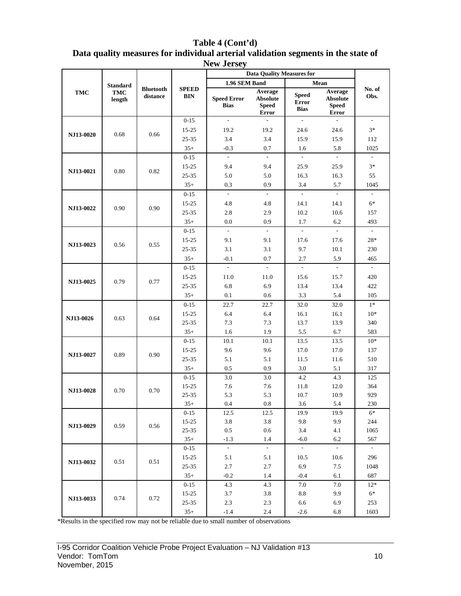|                  |                                         |                              |                        | 1101100<br><b>Data Quality Measures for</b> |                                                     |                                             |                                                            |                             |  |  |
|------------------|-----------------------------------------|------------------------------|------------------------|---------------------------------------------|-----------------------------------------------------|---------------------------------------------|------------------------------------------------------------|-----------------------------|--|--|
|                  |                                         |                              |                        | 1.96 SEM Band                               |                                                     |                                             | Mean                                                       |                             |  |  |
| TMC              | <b>Standard</b><br><b>TMC</b><br>length | <b>Bluetooth</b><br>distance | <b>SPEED</b><br>BIN    | <b>Speed Error</b><br><b>Bias</b>           | Average<br><b>Absolute</b><br><b>Speed</b><br>Error | <b>Speed</b><br><b>Error</b><br><b>Bias</b> | Average<br><b>Absolute</b><br><b>Speed</b><br><b>Error</b> | No. of<br>Obs.              |  |  |
|                  |                                         |                              | $0 - 15$               | $\mathcal{L}^{\mathcal{A}}$                 | $\sim$                                              | $\sim$                                      | $\sim$                                                     | $\mathcal{L}_{\mathcal{A}}$ |  |  |
|                  |                                         |                              | $15 - 25$              | 19.2                                        | 19.2                                                | 24.6                                        | 24.6                                                       | $3*$                        |  |  |
| <b>NJ13-0020</b> | 0.68                                    | 0.66                         | 25-35                  | 3.4                                         | 3.4                                                 | 15.9                                        | 15.9                                                       | 112                         |  |  |
|                  |                                         |                              | $35+$                  | $-0.3$                                      | 0.7                                                 | 1.6                                         | 5.8                                                        | 1025                        |  |  |
|                  |                                         |                              | $0 - 15$               | $\mathcal{L}_{\mathcal{A}}$                 | $\sim$                                              | $\sim$                                      | $\sim$                                                     | $\overline{\phantom{a}}$    |  |  |
|                  |                                         |                              | 15-25                  | 9.4                                         | 9.4                                                 | 25.9                                        | 25.9                                                       | $3*$                        |  |  |
| NJ13-0021        | 0.80                                    | 0.82                         | 25-35                  | 5.0                                         | 5.0                                                 | 16.3                                        | 16.3                                                       | 55                          |  |  |
|                  |                                         |                              | $35+$                  | 0.3                                         | 0.9                                                 | 3.4                                         | 5.7                                                        | 1045                        |  |  |
|                  |                                         |                              | $0 - 15$               | $\sim$                                      | $\mathbb{Z}^2$                                      | $\omega$                                    | $\sim$                                                     | $\blacksquare$              |  |  |
|                  |                                         |                              | $15 - 25$              | 4.8                                         | 4.8                                                 | 14.1                                        | 14.1                                                       | $6*$                        |  |  |
| NJ13-0022        | 0.90                                    | 0.90                         | 25-35                  | 2.8                                         | 2.9                                                 | 10.2                                        | 10.6                                                       | 157                         |  |  |
|                  |                                         |                              | $35+$                  | 0.0                                         | 0.9                                                 | 1.7                                         | 6.2                                                        | 493                         |  |  |
|                  |                                         |                              | $0 - 15$               | $\mathcal{L}^{\mathcal{L}}$                 | $\mathcal{L}^{\mathcal{A}}$                         | $\sim$                                      | $\sim$                                                     | $\mathbb{Z}^{\mathbb{Z}}$   |  |  |
|                  | 0.56                                    |                              | $15 - 25$              | 9.1                                         | 9.1                                                 | 17.6                                        | 17.6                                                       | 28*                         |  |  |
| NJ13-0023        |                                         | 0.55                         | 25-35                  | 3.1                                         | 3.1                                                 | 9.7                                         | 10.1                                                       | 230                         |  |  |
|                  |                                         |                              | $35+$                  | $-0.1$                                      | 0.7                                                 | 2.7                                         | 5.9                                                        | 465                         |  |  |
|                  |                                         |                              | $0 - 15$               | $\mathcal{L}^{\mathcal{A}}$                 | $\mathbb{Z}^2$                                      | $\mathcal{L}^{\mathcal{A}}$                 | $\sim$                                                     | $\mathcal{L}^{\mathcal{A}}$ |  |  |
|                  |                                         |                              | $15 - 25$              | 11.0                                        | 11.0                                                | 15.6                                        | 15.7                                                       | 420                         |  |  |
| NJ13-0025        | 0.79                                    | 0.77                         | 25-35                  | 6.8                                         | 6.9                                                 | 13.4                                        | 13.4                                                       | 422                         |  |  |
|                  |                                         |                              | $35+$                  | 0.1                                         | 0.6                                                 | 3.3                                         | 5.4                                                        | 105                         |  |  |
|                  |                                         |                              | $0 - 15$               | 22.7                                        | 22.7                                                | 32.0                                        | 32.0                                                       | $1*$                        |  |  |
|                  | 0.63                                    |                              | $15 - 25$              | 6.4                                         | 6.4                                                 | 16.1                                        | 16.1                                                       | $10*$                       |  |  |
| NJ13-0026        |                                         | 0.64                         | 25-35                  | 7.3                                         | 7.3                                                 | 13.7                                        | 13.9                                                       | 340                         |  |  |
|                  |                                         |                              | $35+$                  | 1.6                                         | 1.9                                                 | 5.5                                         | 6.7                                                        | 583                         |  |  |
|                  |                                         |                              | $0 - 15$               | 10.1                                        | 10.1                                                | 13.5                                        | 13.5                                                       | $10*$                       |  |  |
| NJ13-0027        | 0.89                                    | 0.90                         | $15 - 25$              | 9.6                                         | 9.6                                                 | 17.0                                        | 17.0                                                       | 137                         |  |  |
|                  |                                         |                              | 25-35                  | 5.1                                         | 5.1                                                 | 11.5                                        | 11.6                                                       | 510                         |  |  |
|                  |                                         |                              | $35+$                  | 0.5                                         | 0.9                                                 | 3.0                                         | 5.1                                                        | 317                         |  |  |
|                  |                                         |                              | $0 - 15$               | 3.0                                         | 3.0                                                 | 4.2                                         | 4.3                                                        | 125                         |  |  |
| NJ13-0028        | 0.70                                    | 0.70                         | $15 - 25$              | 7.6                                         | 7.6                                                 | 11.8                                        | 12.0                                                       | 364                         |  |  |
|                  |                                         |                              | 25-35                  | 5.3                                         | 5.3                                                 | 10.7                                        | 10.9                                                       | 929                         |  |  |
|                  |                                         |                              | $35+$                  | $0.4\,$                                     | $\rm 0.8$                                           | 3.6                                         | 5.4                                                        | 230                         |  |  |
|                  |                                         |                              | $0-15$                 | 12.5                                        | 12.5                                                | 19.9                                        | 19.9                                                       | $6*$                        |  |  |
| NJ13-0029        | 0.59                                    | 0.56                         | $15 - 25$              | 3.8                                         | 3.8                                                 | 9.8                                         | 9.9                                                        | 244                         |  |  |
|                  |                                         |                              | $25 - 35$              | 0.5                                         | 0.6                                                 | 3.4                                         | 4.1                                                        | 1065                        |  |  |
|                  |                                         |                              | $35+$                  | $-1.3$<br>$\sim$                            | 1.4<br>$\sim$                                       | $-6.0$<br>$\sim$                            | 6.2<br>$\sim$                                              | 567<br>$\sim 10^{-1}$       |  |  |
|                  |                                         |                              | $0 - 15$               |                                             |                                                     |                                             |                                                            |                             |  |  |
| NJ13-0032        | 0.51                                    | 0.51                         | $15 - 25$<br>$25 - 35$ | 5.1<br>2.7                                  | 5.1<br>2.7                                          | 10.5<br>6.9                                 | 10.6<br>7.5                                                | 296<br>1048                 |  |  |
|                  |                                         |                              | $35+$                  | $-0.2$                                      | 1.4                                                 | $-0.4$                                      | 6.1                                                        | 687                         |  |  |
|                  |                                         |                              | $0 - 15$               | 4.3                                         | 4.3                                                 | 7.0                                         | 7.0                                                        | $12*$                       |  |  |
|                  |                                         |                              |                        | 3.7                                         |                                                     | 8.8                                         | 9.9                                                        | $6*$                        |  |  |
| NJ13-0033        | 0.74                                    | 0.72                         | $15 - 25$<br>$25 - 35$ | 2.3                                         | 3.8<br>2.3                                          | 6.6                                         | 6.9                                                        | 253                         |  |  |
|                  |                                         |                              | $35+$                  | $-1.4$                                      | 2.4                                                 | $-2.6$                                      | 6.8                                                        | 1603                        |  |  |
|                  |                                         |                              |                        |                                             |                                                     |                                             |                                                            |                             |  |  |

**Table 4 (Cont'd) Data quality measures for individual arterial validation segments in the state of New Jersey**

\*Results in the specified row may not be reliable due to small number of observations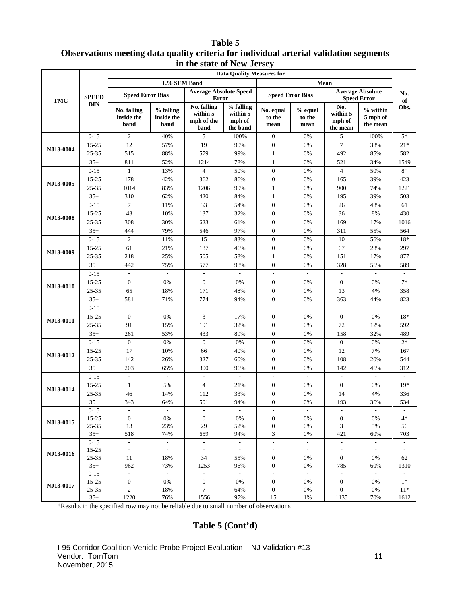#### **Table 5 Observations meeting data quality criteria for individual arterial validation segments in the state of New Jersey**

|                        |                | <b>Data Quality Measures for</b>  |                                 |                                               |                                             |                              |                           |                                       |                                                                                                                                                                                                                                                                                                                                                                                                                                                                                                                                                                                                                                                                                                                                                                                                                                                         |     |  |
|------------------------|----------------|-----------------------------------|---------------------------------|-----------------------------------------------|---------------------------------------------|------------------------------|---------------------------|---------------------------------------|---------------------------------------------------------------------------------------------------------------------------------------------------------------------------------------------------------------------------------------------------------------------------------------------------------------------------------------------------------------------------------------------------------------------------------------------------------------------------------------------------------------------------------------------------------------------------------------------------------------------------------------------------------------------------------------------------------------------------------------------------------------------------------------------------------------------------------------------------------|-----|--|
|                        |                |                                   | 1.96 SEM Band                   |                                               |                                             |                              | Mean                      |                                       |                                                                                                                                                                                                                                                                                                                                                                                                                                                                                                                                                                                                                                                                                                                                                                                                                                                         |     |  |
| <b>TMC</b>             | <b>SPEED</b>   | <b>Speed Error Bias</b>           |                                 | <b>Average Absolute Speed</b><br>Error        |                                             | <b>Speed Error Bias</b>      |                           |                                       |                                                                                                                                                                                                                                                                                                                                                                                                                                                                                                                                                                                                                                                                                                                                                                                                                                                         | No. |  |
|                        | <b>BIN</b>     | No. falling<br>inside the<br>band | % falling<br>inside the<br>band | No. falling<br>within 5<br>mph of the<br>band | % falling<br>within 5<br>mph of<br>the band | No. equal<br>to the<br>mean  | % equal<br>to the<br>mean | No.<br>within 5<br>mph of<br>the mean | <b>Average Absolute</b><br><b>Speed Error</b><br>of<br>Obs.<br>$%$ within<br>5 mph of<br>the mean<br>100%<br>$5*$<br>33%<br>$21*$<br>85%<br>582<br>34%<br>1549<br>$8*$<br>50%<br>39%<br>423<br>74%<br>1221<br>39%<br>503<br>43%<br>61<br>430<br>8%<br>17%<br>1016<br>55%<br>564<br>56%<br>$18*$<br>23%<br>297<br>17%<br>877<br>56%<br>589<br>$7*$<br>0%<br>4%<br>358<br>823<br>44%<br>$\overline{\phantom{a}}$<br>$\overline{\phantom{a}}$<br>0%<br>18*<br>12%<br>592<br>32%<br>489<br>$2*$<br>0%<br>7%<br>167<br>20%<br>544<br>46%<br>312<br>$\overline{\phantom{a}}$<br>L,<br>$19*$<br>0%<br>336<br>4%<br>36%<br>534<br>$\sim$<br>0%<br>$4*$<br>5%<br>56<br>60%<br>703<br>$\sim$<br>$\overline{\phantom{a}}$<br>$\overline{\phantom{a}}$<br>0%<br>62<br>60%<br>1310<br>$\sim$<br>$\overline{\phantom{a}}$<br>$1*$<br>0%<br>0%<br>$11*$<br>70%<br>1612 |     |  |
|                        | $0 - 15$       | $\overline{c}$                    | 40%                             | 5                                             | 100%                                        | $\boldsymbol{0}$             | 0%                        | 5                                     |                                                                                                                                                                                                                                                                                                                                                                                                                                                                                                                                                                                                                                                                                                                                                                                                                                                         |     |  |
| NJ13-0004              | 15-25          | 12                                | 57%                             | 19                                            | 90%                                         | $\boldsymbol{0}$             | 0%                        | 7                                     |                                                                                                                                                                                                                                                                                                                                                                                                                                                                                                                                                                                                                                                                                                                                                                                                                                                         |     |  |
|                        | 25-35          | 515                               | 88%                             | 579                                           | 99%                                         | $\mathbf{1}$                 | 0%                        | 492                                   |                                                                                                                                                                                                                                                                                                                                                                                                                                                                                                                                                                                                                                                                                                                                                                                                                                                         |     |  |
|                        | $35+$          | 811                               | 52%                             | 1214                                          | 78%                                         | $\mathbf{1}$                 | 0%                        | 521                                   |                                                                                                                                                                                                                                                                                                                                                                                                                                                                                                                                                                                                                                                                                                                                                                                                                                                         |     |  |
|                        | $0 - 15$       | $\mathbf{1}$                      | 13%                             | $\overline{4}$                                | 50%                                         | $\mathbf{0}$                 | 0%                        | $\overline{4}$                        |                                                                                                                                                                                                                                                                                                                                                                                                                                                                                                                                                                                                                                                                                                                                                                                                                                                         |     |  |
| NJ13-0005              | 15-25          | 178                               | 42%                             | 362                                           | 86%                                         | $\boldsymbol{0}$             | 0%                        | 165                                   |                                                                                                                                                                                                                                                                                                                                                                                                                                                                                                                                                                                                                                                                                                                                                                                                                                                         |     |  |
|                        | 25-35          | 1014                              | 83%                             | 1206                                          | 99%                                         | $\mathbf{1}$                 | 0%                        | 900                                   |                                                                                                                                                                                                                                                                                                                                                                                                                                                                                                                                                                                                                                                                                                                                                                                                                                                         |     |  |
|                        | $35+$          | 310                               | 62%                             | 420                                           | 84%                                         | 1                            | 0%                        | 195                                   |                                                                                                                                                                                                                                                                                                                                                                                                                                                                                                                                                                                                                                                                                                                                                                                                                                                         |     |  |
| NJ13-0008<br>NJ13-0009 | $0 - 15$       | $\tau$                            | 11%                             | 33                                            | 54%                                         | $\boldsymbol{0}$             | 0%                        | 26                                    |                                                                                                                                                                                                                                                                                                                                                                                                                                                                                                                                                                                                                                                                                                                                                                                                                                                         |     |  |
|                        | 15-25          | 43                                | 10%                             | 137                                           | 32%                                         | $\boldsymbol{0}$             | 0%                        | 36                                    |                                                                                                                                                                                                                                                                                                                                                                                                                                                                                                                                                                                                                                                                                                                                                                                                                                                         |     |  |
|                        | 25-35          | 308                               | 30%                             | 623                                           | 61%                                         | $\boldsymbol{0}$             | 0%                        | 169                                   |                                                                                                                                                                                                                                                                                                                                                                                                                                                                                                                                                                                                                                                                                                                                                                                                                                                         |     |  |
|                        | $35+$          | 444                               | 79%                             | 546                                           | 97%                                         | $\boldsymbol{0}$             | 0%                        | 311                                   |                                                                                                                                                                                                                                                                                                                                                                                                                                                                                                                                                                                                                                                                                                                                                                                                                                                         |     |  |
|                        | $0 - 15$       | $\mathfrak{2}$                    | 11%                             | 15                                            | 83%                                         | $\boldsymbol{0}$             | 0%                        | 10                                    |                                                                                                                                                                                                                                                                                                                                                                                                                                                                                                                                                                                                                                                                                                                                                                                                                                                         |     |  |
|                        | 15-25          | 61                                | 21%                             | 137                                           | 46%                                         | $\boldsymbol{0}$             | 0%                        | 67                                    |                                                                                                                                                                                                                                                                                                                                                                                                                                                                                                                                                                                                                                                                                                                                                                                                                                                         |     |  |
|                        | 25-35          | 218                               | 25%                             | 505                                           | 58%                                         | $\mathbf{1}$                 | 0%                        | 151                                   |                                                                                                                                                                                                                                                                                                                                                                                                                                                                                                                                                                                                                                                                                                                                                                                                                                                         |     |  |
|                        | $35+$          | 442                               | 75%                             | 577                                           | 98%                                         | $\boldsymbol{0}$             | 0%                        | 328                                   |                                                                                                                                                                                                                                                                                                                                                                                                                                                                                                                                                                                                                                                                                                                                                                                                                                                         |     |  |
|                        | $0 - 15$       | $\overline{\phantom{a}}$          | $\overline{\phantom{a}}$        | $\overline{\phantom{a}}$                      |                                             | ÷,                           | $\overline{a}$            |                                       |                                                                                                                                                                                                                                                                                                                                                                                                                                                                                                                                                                                                                                                                                                                                                                                                                                                         |     |  |
|                        | $15 - 25$      | $\boldsymbol{0}$                  | 0%                              | $\boldsymbol{0}$                              | 0%                                          | $\boldsymbol{0}$             | 0%                        | $\boldsymbol{0}$                      |                                                                                                                                                                                                                                                                                                                                                                                                                                                                                                                                                                                                                                                                                                                                                                                                                                                         |     |  |
| NJ13-0010              | 25-35          | 65                                | 18%                             | 171                                           | 48%                                         | $\boldsymbol{0}$             | 0%                        | 13                                    |                                                                                                                                                                                                                                                                                                                                                                                                                                                                                                                                                                                                                                                                                                                                                                                                                                                         |     |  |
|                        | $35+$          | 581                               | 71%                             | 774                                           | 94%                                         | $\boldsymbol{0}$             | 0%                        | 363                                   |                                                                                                                                                                                                                                                                                                                                                                                                                                                                                                                                                                                                                                                                                                                                                                                                                                                         |     |  |
|                        | $0 - 15$       | $\blacksquare$                    | $\overline{\phantom{a}}$        | $\bar{\phantom{a}}$                           | $\overline{\phantom{a}}$                    | $\frac{1}{2}$                | $\overline{\phantom{a}}$  | $\overline{\phantom{a}}$              |                                                                                                                                                                                                                                                                                                                                                                                                                                                                                                                                                                                                                                                                                                                                                                                                                                                         |     |  |
| NJ13-0011              | 15-25          | $\boldsymbol{0}$                  | 0%                              | 3                                             | 17%                                         | $\boldsymbol{0}$             | 0%                        | $\boldsymbol{0}$                      |                                                                                                                                                                                                                                                                                                                                                                                                                                                                                                                                                                                                                                                                                                                                                                                                                                                         |     |  |
|                        | 25-35          | 91                                | 15%                             | 191                                           | 32%                                         | $\boldsymbol{0}$             | 0%                        | 72                                    |                                                                                                                                                                                                                                                                                                                                                                                                                                                                                                                                                                                                                                                                                                                                                                                                                                                         |     |  |
|                        | $35+$          | 261                               | 53%                             | 433                                           | 89%                                         | $\boldsymbol{0}$             | 0%                        | 158                                   |                                                                                                                                                                                                                                                                                                                                                                                                                                                                                                                                                                                                                                                                                                                                                                                                                                                         |     |  |
|                        | $0 - 15$       | $\mathbf{0}$                      | 0%                              | $\boldsymbol{0}$                              | 0%                                          | $\boldsymbol{0}$             | 0%                        | $\boldsymbol{0}$                      |                                                                                                                                                                                                                                                                                                                                                                                                                                                                                                                                                                                                                                                                                                                                                                                                                                                         |     |  |
| NJ13-0012              | 15-25          | 17                                | 10%                             | 66                                            | 40%                                         | $\boldsymbol{0}$             | 0%                        | 12                                    |                                                                                                                                                                                                                                                                                                                                                                                                                                                                                                                                                                                                                                                                                                                                                                                                                                                         |     |  |
|                        | 25-35          | 142                               | 26%                             | 327                                           | 60%                                         | $\boldsymbol{0}$             | 0%                        | 108                                   |                                                                                                                                                                                                                                                                                                                                                                                                                                                                                                                                                                                                                                                                                                                                                                                                                                                         |     |  |
|                        | $35+$          | 203                               | 65%                             | 300                                           | 96%                                         | $\overline{0}$               | 0%                        | 142                                   |                                                                                                                                                                                                                                                                                                                                                                                                                                                                                                                                                                                                                                                                                                                                                                                                                                                         |     |  |
|                        | $0 - 15$       | $\overline{\phantom{a}}$          | $\overline{\phantom{a}}$        | $\overline{\phantom{a}}$                      | $\Box$                                      | $\overline{\phantom{a}}$     | $\overline{\phantom{a}}$  | $\overline{\phantom{a}}$              |                                                                                                                                                                                                                                                                                                                                                                                                                                                                                                                                                                                                                                                                                                                                                                                                                                                         |     |  |
| NJ13-0014              | 15-25          | $\mathbf{1}$                      | 5%                              | 4                                             | 21%                                         | $\boldsymbol{0}$             | 0%                        | $\mathbf{0}$                          |                                                                                                                                                                                                                                                                                                                                                                                                                                                                                                                                                                                                                                                                                                                                                                                                                                                         |     |  |
|                        | 25-35          | 46                                | 14%                             | 112                                           | 33%                                         | $\mathbf{0}$                 | 0%                        | 14                                    |                                                                                                                                                                                                                                                                                                                                                                                                                                                                                                                                                                                                                                                                                                                                                                                                                                                         |     |  |
|                        | $35+$          | 343                               | 64%                             | 501                                           | 94%                                         | $\overline{0}$               | $0\%$                     | 193                                   |                                                                                                                                                                                                                                                                                                                                                                                                                                                                                                                                                                                                                                                                                                                                                                                                                                                         |     |  |
|                        | $0 - 15$       | $\overline{\phantom{a}}$          | $\blacksquare$                  | $\overline{\phantom{a}}$                      | $\sim$                                      | $\overline{\phantom{a}}$     | $\overline{\phantom{a}}$  | $\overline{\phantom{a}}$              |                                                                                                                                                                                                                                                                                                                                                                                                                                                                                                                                                                                                                                                                                                                                                                                                                                                         |     |  |
| NJ13-0015              | $15 - 25$      | $\boldsymbol{0}$                  | $0\%$                           | $\boldsymbol{0}$                              | 0%                                          | $\boldsymbol{0}$             | 0%                        | $\boldsymbol{0}$                      |                                                                                                                                                                                                                                                                                                                                                                                                                                                                                                                                                                                                                                                                                                                                                                                                                                                         |     |  |
|                        | 25-35<br>$35+$ | 13<br>518                         | 23%<br>74%                      | 29<br>659                                     | 52%<br>94%                                  | $\boldsymbol{0}$<br>3        | 0%<br>0%                  | 3<br>421                              |                                                                                                                                                                                                                                                                                                                                                                                                                                                                                                                                                                                                                                                                                                                                                                                                                                                         |     |  |
|                        | $0 - 15$       | $\mathbb{L}$                      | $\mathcal{L}_{\mathcal{A}}$     | $\overline{\phantom{a}}$                      | $\sim$                                      | $\frac{1}{2}$                | $\sim$                    | $\overline{\phantom{a}}$              |                                                                                                                                                                                                                                                                                                                                                                                                                                                                                                                                                                                                                                                                                                                                                                                                                                                         |     |  |
|                        | $15 - 25$      | $\overline{\phantom{a}}$          | $\sim$                          | $\overline{\phantom{a}}$                      | $\sim$                                      | $\qquad \qquad \blacksquare$ | $\overline{\phantom{a}}$  | $\overline{\phantom{a}}$              |                                                                                                                                                                                                                                                                                                                                                                                                                                                                                                                                                                                                                                                                                                                                                                                                                                                         |     |  |
| <b>NJ13-0016</b>       | 25-35          | 11                                | 18%                             | 34                                            | 55%                                         | $\boldsymbol{0}$             | 0%                        | $\boldsymbol{0}$                      |                                                                                                                                                                                                                                                                                                                                                                                                                                                                                                                                                                                                                                                                                                                                                                                                                                                         |     |  |
|                        | $35+$          | 962                               | 73%                             | 1253                                          | 96%                                         | $\boldsymbol{0}$             | 0%                        | 785                                   |                                                                                                                                                                                                                                                                                                                                                                                                                                                                                                                                                                                                                                                                                                                                                                                                                                                         |     |  |
|                        | $0 - 15$       | $\overline{\phantom{a}}$          | $\mathcal{L}^{\mathcal{L}}$     | $\overline{\phantom{a}}$                      | $\sim$                                      | $\frac{1}{2}$                | $\mathcal{L}$             | $\overline{\phantom{a}}$              |                                                                                                                                                                                                                                                                                                                                                                                                                                                                                                                                                                                                                                                                                                                                                                                                                                                         |     |  |
|                        | $15 - 25$      | $\mathbf{0}$                      | 0%                              | $\boldsymbol{0}$                              | 0%                                          | $\boldsymbol{0}$             | 0%                        | $\boldsymbol{0}$                      |                                                                                                                                                                                                                                                                                                                                                                                                                                                                                                                                                                                                                                                                                                                                                                                                                                                         |     |  |
| NJ13-0017              | $25 - 35$      | $\mathfrak{2}$                    | 18%                             | 7                                             | 64%                                         | $\boldsymbol{0}$             | $0\%$                     | $\boldsymbol{0}$                      |                                                                                                                                                                                                                                                                                                                                                                                                                                                                                                                                                                                                                                                                                                                                                                                                                                                         |     |  |
|                        | $35+$          | 1220                              | 76%                             | 1556                                          | 97%                                         | 15                           | 1%                        | 1135                                  |                                                                                                                                                                                                                                                                                                                                                                                                                                                                                                                                                                                                                                                                                                                                                                                                                                                         |     |  |

\*Results in the specified row may not be reliable due to small number of observations

#### **Table 5 (Cont'd)**